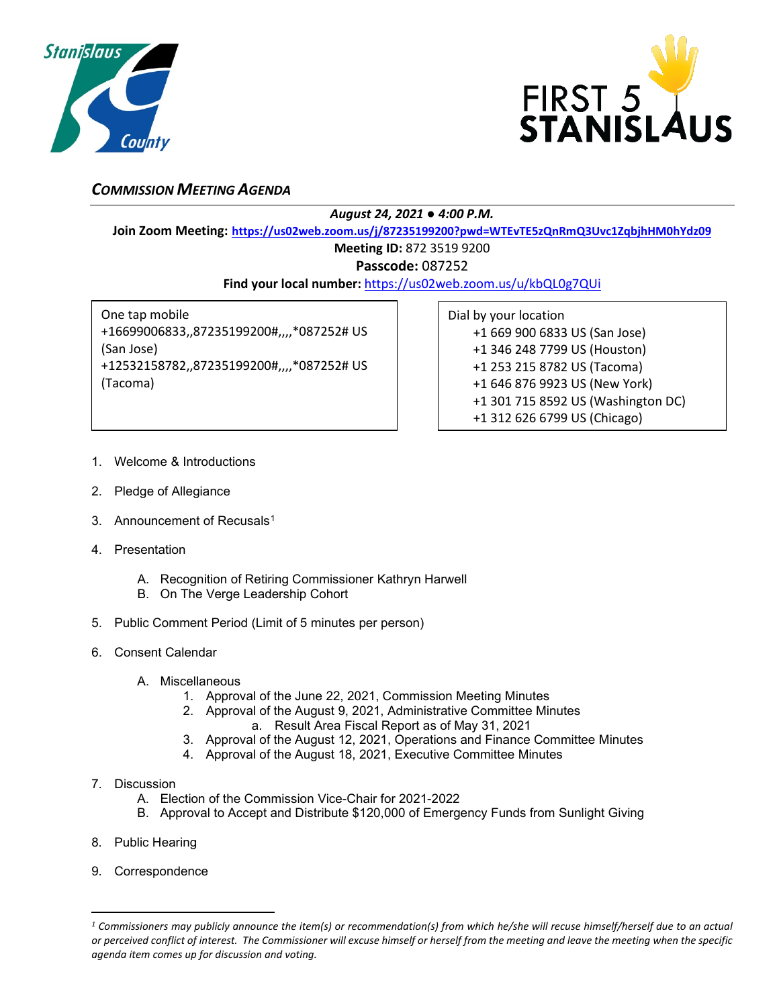



## *COMMISSION MEETING AGENDA*

*August 24, 2021 ● 4:00 P.M.*

**Join Zoom Meeting: <https://us02web.zoom.us/j/87235199200?pwd=WTEvTE5zQnRmQ3Uvc1ZqbjhHM0hYdz09>**

**Meeting ID:** 872 3519 9200

**Passcode:** 087252

**Find your local number:** <https://us02web.zoom.us/u/kbQL0g7QUi>

One tap mobile +16699006833,,87235199200#,,,,\*087252# US (San Jose) +12532158782,,87235199200#,,,,\*087252# US (Tacoma)

Dial by your location +1 669 900 6833 US (San Jose) +1 346 248 7799 US (Houston) +1 253 215 8782 US (Tacoma) +1 646 876 9923 US (New York) +1 301 715 8592 US (Washington DC) +1 312 626 6799 US (Chicago)

- 1. Welcome & Introductions
- 2. Pledge of Allegiance
- 3. Announcement of Recusals<sup>[1](#page-0-0)</sup>
- 4. Presentation
	- A. Recognition of Retiring Commissioner Kathryn Harwell
	- B. On The Verge Leadership Cohort
- 5. Public Comment Period (Limit of 5 minutes per person)
- 6. Consent Calendar
	- A. Miscellaneous
		- 1. Approval of the June 22, 2021, Commission Meeting Minutes
		- 2. Approval of the August 9, 2021, Administrative Committee Minutes
			- a. Result Area Fiscal Report as of May 31, 2021
		- 3. Approval of the August 12, 2021, Operations and Finance Committee Minutes 4. Approval of the August 18, 2021, Executive Committee Minutes
- 7. Discussion
	- A. Election of the Commission Vice-Chair for 2021-2022
	- B. Approval to Accept and Distribute \$120,000 of Emergency Funds from Sunlight Giving
- 8. Public Hearing
- 9. Correspondence

<span id="page-0-0"></span>*<sup>1</sup> Commissioners may publicly announce the item(s) or recommendation(s) from which he/she will recuse himself/herself due to an actual or perceived conflict of interest. The Commissioner will excuse himself or herself from the meeting and leave the meeting when the specific agenda item comes up for discussion and voting.*